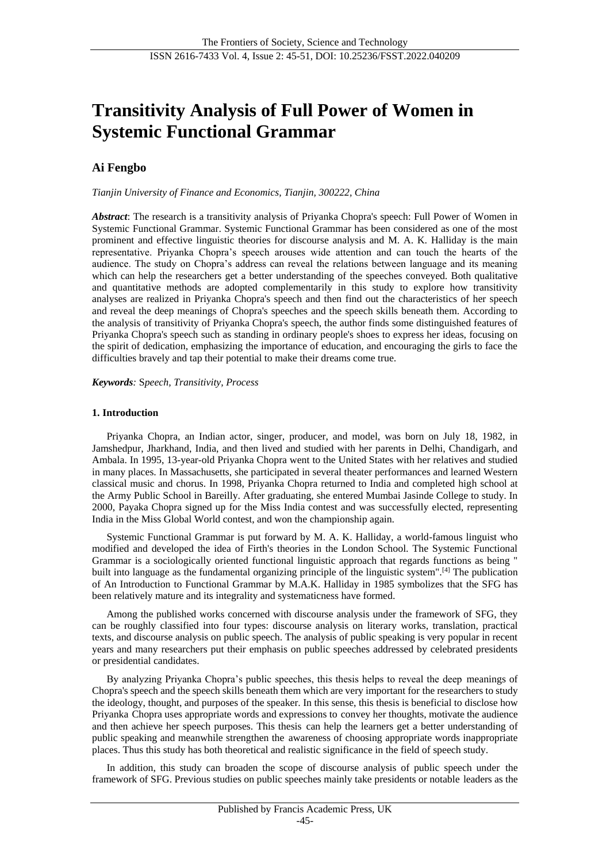# **Transitivity Analysis of Full Power of Women in Systemic Functional Grammar**

# **Ai Fengbo**

*Tianjin University of Finance and Economics, Tianjin, 300222, China*

*Abstract*: The research is a transitivity analysis of Priyanka Chopra's speech: Full Power of Women in Systemic Functional Grammar. Systemic Functional Grammar has been considered as one of the most prominent and effective linguistic theories for discourse analysis and M. A. K. Halliday is the main representative. Priyanka Chopra's speech arouses wide attention and can touch the hearts of the audience. The study on Chopra's address can reveal the relations between language and its meaning which can help the researchers get a better understanding of the speeches conveyed. Both qualitative and quantitative methods are adopted complementarily in this study to explore how transitivity analyses are realized in Priyanka Chopra's speech and then find out the characteristics of her speech and reveal the deep meanings of Chopra's speeches and the speech skills beneath them. According to the analysis of transitivity of Priyanka Chopra's speech, the author finds some distinguished features of Priyanka Chopra's speech such as standing in ordinary people's shoes to express her ideas, focusing on the spirit of dedication, emphasizing the importance of education, and encouraging the girls to face the difficulties bravely and tap their potential to make their dreams come true.

*Keywords:* S*peech, Transitivity, Process*

# **1. Introduction**

Priyanka Chopra, an Indian actor, singer, producer, and model, was born on July 18, 1982, in Jamshedpur, Jharkhand, India, and then lived and studied with her parents in Delhi, Chandigarh, and Ambala. In 1995, 13-year-old Priyanka Chopra went to the United States with her relatives and studied in many places. In Massachusetts, she participated in several theater performances and learned Western classical music and chorus. In 1998, Priyanka Chopra returned to India and completed high school at the Army Public School in Bareilly. After graduating, she entered Mumbai Jasinde College to study. In 2000, Payaka Chopra signed up for the Miss India contest and was successfully elected, representing India in the Miss Global World contest, and won the championship again.

Systemic Functional Grammar is put forward by M. A. K. Halliday, a world-famous linguist who modified and developed the idea of Firth's theories in the London School. The Systemic Functional Grammar is a sociologically oriented functional linguistic approach that regards functions as being " built into language as the fundamental organizing principle of the linguistic system".[4] The publication of An Introduction to Functional Grammar by M.A.K. Halliday in 1985 symbolizes that the SFG has been relatively mature and its integrality and systematicness have formed.

Among the published works concerned with discourse analysis under the framework of SFG, they can be roughly classified into four types: discourse analysis on literary works, translation, practical texts, and discourse analysis on public speech. The analysis of public speaking is very popular in recent years and many researchers put their emphasis on public speeches addressed by celebrated presidents or presidential candidates.

By analyzing Priyanka Chopra's public speeches, this thesis helps to reveal the deep meanings of Chopra's speech and the speech skills beneath them which are very important for the researchers to study the ideology, thought, and purposes of the speaker. In this sense, this thesis is beneficial to disclose how Priyanka Chopra uses appropriate words and expressions to convey her thoughts, motivate the audience and then achieve her speech purposes. This thesis can help the learners get a better understanding of public speaking and meanwhile strengthen the awareness of choosing appropriate words inappropriate places. Thus this study has both theoretical and realistic significance in the field of speech study.

In addition, this study can broaden the scope of discourse analysis of public speech under the framework of SFG. Previous studies on public speeches mainly take presidents or notable leaders as the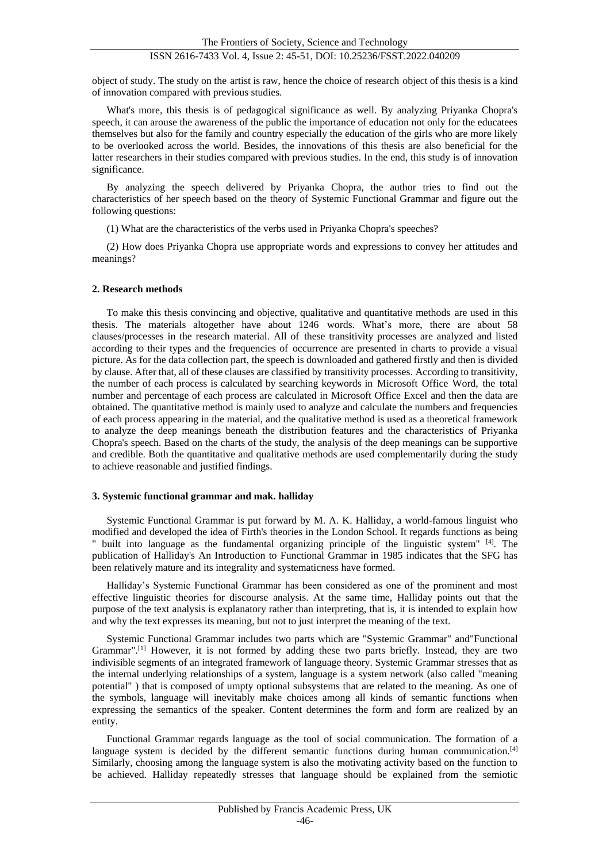object of study. The study on the artist is raw, hence the choice of research object of this thesis is a kind of innovation compared with previous studies.

What's more, this thesis is of pedagogical significance as well. By analyzing Priyanka Chopra's speech, it can arouse the awareness of the public the importance of education not only for the educatees themselves but also for the family and country especially the education of the girls who are more likely to be overlooked across the world. Besides, the innovations of this thesis are also beneficial for the latter researchers in their studies compared with previous studies. In the end, this study is of innovation significance.

By analyzing the speech delivered by Priyanka Chopra, the author tries to find out the characteristics of her speech based on the theory of Systemic Functional Grammar and figure out the following questions:

(1) What are the characteristics of the verbs used in Priyanka Chopra's speeches?

(2) How does Priyanka Chopra use appropriate words and expressions to convey her attitudes and meanings?

# **2. Research methods**

To make this thesis convincing and objective, qualitative and quantitative methods are used in this thesis. The materials altogether have about 1246 words. What's more, there are about 58 clauses/processes in the research material. All of these transitivity processes are analyzed and listed according to their types and the frequencies of occurrence are presented in charts to provide a visual picture. As for the data collection part, the speech is downloaded and gathered firstly and then is divided by clause. After that, all of these clauses are classified by transitivity processes. According to transitivity, the number of each process is calculated by searching keywords in Microsoft Office Word, the total number and percentage of each process are calculated in Microsoft Office Excel and then the data are obtained. The quantitative method is mainly used to analyze and calculate the numbers and frequencies of each process appearing in the material, and the qualitative method is used as a theoretical framework to analyze the deep meanings beneath the distribution features and the characteristics of Priyanka Chopra's speech. Based on the charts of the study, the analysis of the deep meanings can be supportive and credible. Both the quantitative and qualitative methods are used complementarily during the study to achieve reasonable and justified findings.

# **3. Systemic functional grammar and mak. halliday**

Systemic Functional Grammar is put forward by M. A. K. Halliday, a world-famous linguist who modified and developed the idea of Firth's theories in the London School. It regards functions as being " built into language as the fundamental organizing principle of the linguistic system"  $[4]$ . The publication of Halliday's An Introduction to Functional Grammar in 1985 indicates that the SFG has been relatively mature and its integrality and systematicness have formed.

Halliday's Systemic Functional Grammar has been considered as one of the prominent and most effective linguistic theories for discourse analysis. At the same time, Halliday points out that the purpose of the text analysis is explanatory rather than interpreting, that is, it is intended to explain how and why the text expresses its meaning, but not to just interpret the meaning of the text.

Systemic Functional Grammar includes two parts which are "Systemic Grammar" and"Functional Grammar".[1] However, it is not formed by adding these two parts briefly. Instead, they are two indivisible segments of an integrated framework of language theory. Systemic Grammar stresses that as the internal underlying relationships of a system, language is a system network (also called "meaning potential" ) that is composed of umpty optional subsystems that are related to the meaning. As one of the symbols, language will inevitably make choices among all kinds of semantic functions when expressing the semantics of the speaker. Content determines the form and form are realized by an entity.

Functional Grammar regards language as the tool of social communication. The formation of a language system is decided by the different semantic functions during human communication.<sup>[4]</sup> Similarly, choosing among the language system is also the motivating activity based on the function to be achieved. Halliday repeatedly stresses that language should be explained from the semiotic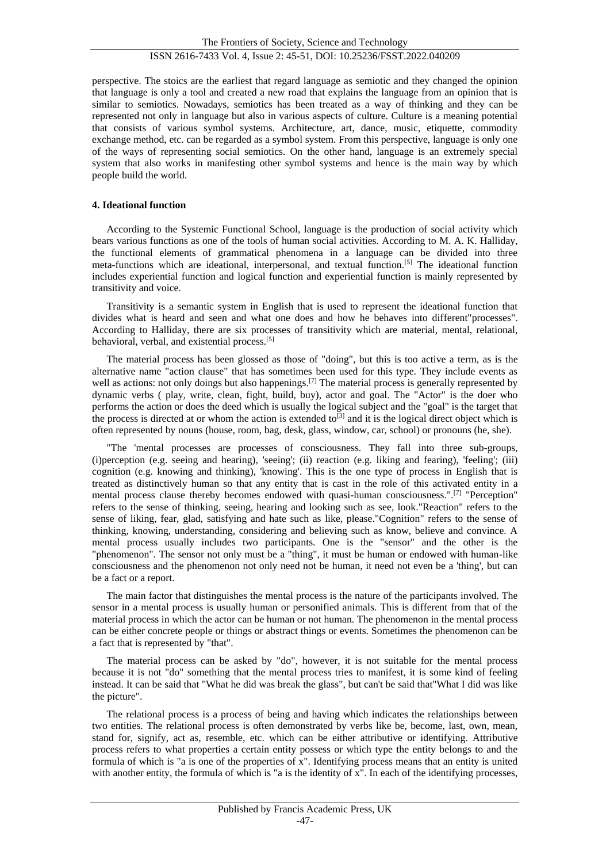perspective. The stoics are the earliest that regard language as semiotic and they changed the opinion that language is only a tool and created a new road that explains the language from an opinion that is similar to semiotics. Nowadays, semiotics has been treated as a way of thinking and they can be represented not only in language but also in various aspects of culture. Culture is a meaning potential that consists of various symbol systems. Architecture, art, dance, music, etiquette, commodity exchange method, etc. can be regarded as a symbol system. From this perspective, language is only one of the ways of representing social semiotics. On the other hand, language is an extremely special system that also works in manifesting other symbol systems and hence is the main way by which people build the world.

#### **4. Ideational function**

According to the Systemic Functional School, language is the production of social activity which bears various functions as one of the tools of human social activities. According to M. A. K. Halliday, the functional elements of grammatical phenomena in a language can be divided into three meta-functions which are ideational, interpersonal, and textual function.[5] The ideational function includes experiential function and logical function and experiential function is mainly represented by transitivity and voice.

Transitivity is a semantic system in English that is used to represent the ideational function that divides what is heard and seen and what one does and how he behaves into different"processes". According to Halliday, there are six processes of transitivity which are material, mental, relational, behavioral, verbal, and existential process.[5]

The material process has been glossed as those of "doing", but this is too active a term, as is the alternative name "action clause" that has sometimes been used for this type. They include events as well as actions: not only doings but also happenings.<sup>[7]</sup> The material process is generally represented by dynamic verbs ( play, write, clean, fight, build, buy), actor and goal. The "Actor" is the doer who performs the action or does the deed which is usually the logical subject and the "goal" is the target that the process is directed at or whom the action is extended to<sup>[3]</sup> and it is the logical direct object which is often represented by nouns (house, room, bag, desk, glass, window, car, school) or pronouns (he, she).

"The 'mental processes are processes of consciousness. They fall into three sub-groups, (i)perception (e.g. seeing and hearing), 'seeing'; (ii) reaction (e.g. liking and fearing), 'feeling'; (iii) cognition (e.g. knowing and thinking), 'knowing'. This is the one type of process in English that is treated as distinctively human so that any entity that is cast in the role of this activated entity in a mental process clause thereby becomes endowed with quasi-human consciousness.".[7] "Perception" refers to the sense of thinking, seeing, hearing and looking such as see, look."Reaction" refers to the sense of liking, fear, glad, satisfying and hate such as like, please."Cognition" refers to the sense of thinking, knowing, understanding, considering and believing such as know, believe and convince. A mental process usually includes two participants. One is the "sensor" and the other is the "phenomenon". The sensor not only must be a "thing", it must be human or endowed with human-like consciousness and the phenomenon not only need not be human, it need not even be a 'thing', but can be a fact or a report.

The main factor that distinguishes the mental process is the nature of the participants involved. The sensor in a mental process is usually human or personified animals. This is different from that of the material process in which the actor can be human or not human. The phenomenon in the mental process can be either concrete people or things or abstract things or events. Sometimes the phenomenon can be a fact that is represented by "that".

The material process can be asked by "do", however, it is not suitable for the mental process because it is not "do" something that the mental process tries to manifest, it is some kind of feeling instead. It can be said that "What he did was break the glass", but can't be said that"What I did was like the picture".

The relational process is a process of being and having which indicates the relationships between two entities. The relational process is often demonstrated by verbs like be, become, last, own, mean, stand for, signify, act as, resemble, etc. which can be either attributive or identifying. Attributive process refers to what properties a certain entity possess or which type the entity belongs to and the formula of which is "a is one of the properties of x". Identifying process means that an entity is united with another entity, the formula of which is "a is the identity of x". In each of the identifying processes,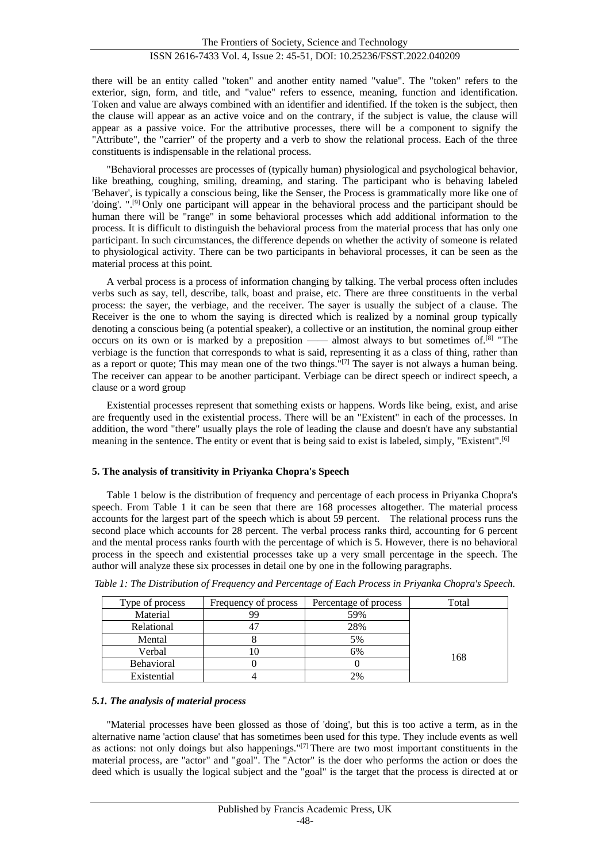there will be an entity called "token" and another entity named "value". The "token" refers to the exterior, sign, form, and title, and "value" refers to essence, meaning, function and identification. Token and value are always combined with an identifier and identified. If the token is the subject, then the clause will appear as an active voice and on the contrary, if the subject is value, the clause will appear as a passive voice. For the attributive processes, there will be a component to signify the "Attribute", the "carrier" of the property and a verb to show the relational process. Each of the three constituents is indispensable in the relational process.

"Behavioral processes are processes of (typically human) physiological and psychological behavior, like breathing, coughing, smiling, dreaming, and staring. The participant who is behaving labeled 'Behaver', is typically a conscious being, like the Senser, the Process is grammatically more like one of 'doing'. ".[9] Only one participant will appear in the behavioral process and the participant should be human there will be "range" in some behavioral processes which add additional information to the process. It is difficult to distinguish the behavioral process from the material process that has only one participant. In such circumstances, the difference depends on whether the activity of someone is related to physiological activity. There can be two participants in behavioral processes, it can be seen as the material process at this point.

A verbal process is a process of information changing by talking. The verbal process often includes verbs such as say, tell, describe, talk, boast and praise, etc. There are three constituents in the verbal process: the sayer, the verbiage, and the receiver. The sayer is usually the subject of a clause. The Receiver is the one to whom the saying is directed which is realized by a nominal group typically denoting a conscious being (a potential speaker), a collective or an institution, the nominal group either occurs on its own or is marked by a preposition —— almost always to but sometimes of.<sup>[8]</sup> "The verbiage is the function that corresponds to what is said, representing it as a class of thing, rather than as a report or quote; This may mean one of the two things."[7] The sayer is not always a human being. The receiver can appear to be another participant. Verbiage can be direct speech or indirect speech, a clause or a word group

Existential processes represent that something exists or happens. Words like being, exist, and arise are frequently used in the existential process. There will be an "Existent" in each of the processes. In addition, the word "there" usually plays the role of leading the clause and doesn't have any substantial meaning in the sentence. The entity or event that is being said to exist is labeled, simply, "Existent".<sup>[6]</sup>

# **5. The analysis of transitivity in Priyanka Chopra's Speech**

Table 1 below is the distribution of frequency and percentage of each process in Priyanka Chopra's speech. From Table 1 it can be seen that there are 168 processes altogether. The material process accounts for the largest part of the speech which is about 59 percent. The relational process runs the second place which accounts for 28 percent. The verbal process ranks third, accounting for 6 percent and the mental process ranks fourth with the percentage of which is 5. However, there is no behavioral process in the speech and existential processes take up a very small percentage in the speech. The author will analyze these six processes in detail one by one in the following paragraphs.

| Type of process | Frequency of process | Percentage of process | Total |
|-----------------|----------------------|-----------------------|-------|
| Material        | 99                   | 59%                   |       |
| Relational      | 47                   | 28%                   |       |
| Mental          |                      | 5%                    |       |
| Verbal          |                      | 6%                    | 168   |
| Behavioral      |                      |                       |       |
| Existential     |                      |                       |       |

*Table 1: The Distribution of Frequency and Percentage of Each Process in Priyanka Chopra's Speech.*

# *5.1. The analysis of material process*

"Material processes have been glossed as those of 'doing', but this is too active a term, as in the alternative name 'action clause' that has sometimes been used for this type. They include events as well as actions: not only doings but also happenings."[7] There are two most important constituents in the material process, are "actor" and "goal". The "Actor" is the doer who performs the action or does the deed which is usually the logical subject and the "goal" is the target that the process is directed at or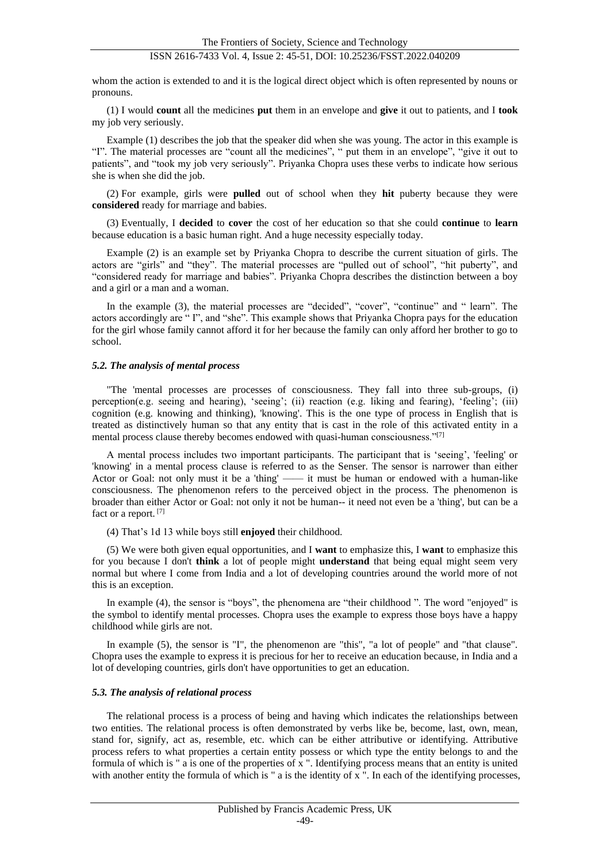# ISSN 2616-7433 Vol. 4, Issue 2: 45-51, DOI: 10.25236/FSST.2022.040209

whom the action is extended to and it is the logical direct object which is often represented by nouns or pronouns.

(1) I would **count** all the medicines **put** them in an envelope and **give** it out to patients, and I **took** my job very seriously.

Example (1) describes the job that the speaker did when she was young. The actor in this example is "I". The material processes are "count all the medicines", " put them in an envelope", "give it out to patients", and "took my job very seriously". Priyanka Chopra uses these verbs to indicate how serious she is when she did the job.

(2) For example, girls were **pulled** out of school when they **hit** puberty because they were **considered** ready for marriage and babies.

(3) Eventually, I **decided** to **cover** the cost of her education so that she could **continue** to **learn** because education is a basic human right. And a huge necessity especially today.

Example (2) is an example set by Priyanka Chopra to describe the current situation of girls. The actors are "girls" and "they". The material processes are "pulled out of school", "hit puberty", and "considered ready for marriage and babies". Priyanka Chopra describes the distinction between a boy and a girl or a man and a woman.

In the example (3), the material processes are "decided", "cover", "continue" and " learn". The actors accordingly are " I", and "she". This example shows that Priyanka Chopra pays for the education for the girl whose family cannot afford it for her because the family can only afford her brother to go to school.

#### *5.2. The analysis of mental process*

"The 'mental processes are processes of consciousness. They fall into three sub-groups, (i) perception(e.g. seeing and hearing), 'seeing'; (ii) reaction (e.g. liking and fearing), 'feeling'; (iii) cognition (e.g. knowing and thinking), 'knowing'. This is the one type of process in English that is treated as distinctively human so that any entity that is cast in the role of this activated entity in a mental process clause thereby becomes endowed with quasi-human consciousness."<sup>[7]</sup>

A mental process includes two important participants. The participant that is 'seeing', 'feeling' or 'knowing' in a mental process clause is referred to as the Senser. The sensor is narrower than either Actor or Goal: not only must it be a 'thing' —— it must be human or endowed with a human-like consciousness. The phenomenon refers to the perceived object in the process. The phenomenon is broader than either Actor or Goal: not only it not be human-- it need not even be a 'thing', but can be a fact or a report.<sup>[7]</sup>

(4) That's 1d 13 while boys still **enjoyed** their childhood.

(5) We were both given equal opportunities, and I **want** to emphasize this, I **want** to emphasize this for you because I don't **think** a lot of people might **understand** that being equal might seem very normal but where I come from India and a lot of developing countries around the world more of not this is an exception.

In example (4), the sensor is "boys", the phenomena are "their childhood ". The word "enjoyed" is the symbol to identify mental processes. Chopra uses the example to express those boys have a happy childhood while girls are not.

In example (5), the sensor is "I", the phenomenon are "this", "a lot of people" and "that clause". Chopra uses the example to express it is precious for her to receive an education because, in India and a lot of developing countries, girls don't have opportunities to get an education.

#### *5.3. The analysis of relational process*

The relational process is a process of being and having which indicates the relationships between two entities. The relational process is often demonstrated by verbs like be, become, last, own, mean, stand for, signify, act as, resemble, etc. which can be either attributive or identifying. Attributive process refers to what properties a certain entity possess or which type the entity belongs to and the formula of which is " a is one of the properties of x ". Identifying process means that an entity is united with another entity the formula of which is " a is the identity of x ". In each of the identifying processes,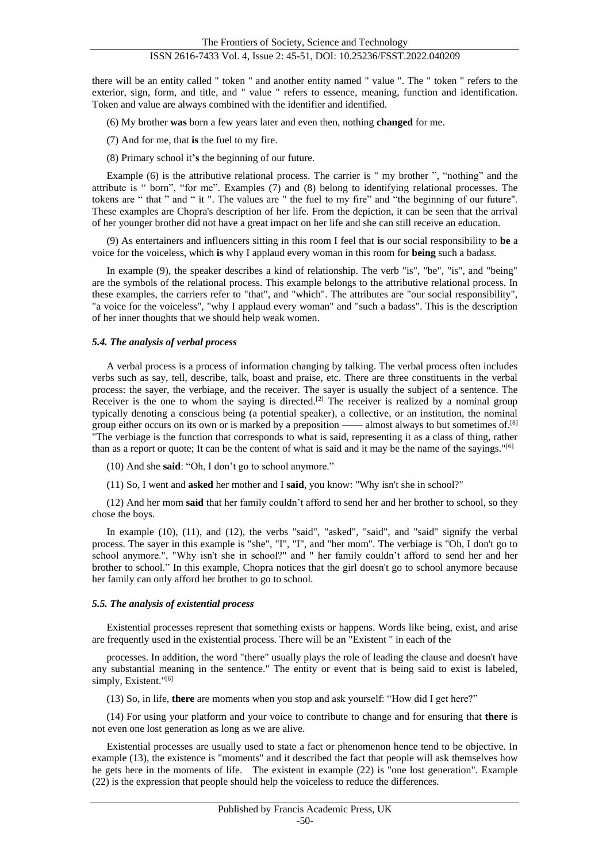# ISSN 2616-7433 Vol. 4, Issue 2: 45-51, DOI: 10.25236/FSST.2022.040209

there will be an entity called " token " and another entity named " value ". The " token " refers to the exterior, sign, form, and title, and " value " refers to essence, meaning, function and identification. Token and value are always combined with the identifier and identified.

(6) My brother **was** born a few years later and even then, nothing **changed** for me.

- (7) And for me, that **is** the fuel to my fire.
- (8) Primary school it**'s** the beginning of our future.

Example (6) is the attributive relational process. The carrier is " my brother ", "nothing" and the attribute is " born", "for me". Examples (7) and (8) belong to identifying relational processes. The tokens are " that " and " it ". The values are " the fuel to my fire" and "the beginning of our future". These examples are Chopra's description of her life. From the depiction, it can be seen that the arrival of her younger brother did not have a great impact on her life and she can still receive an education.

(9) As entertainers and influencers sitting in this room I feel that **is** our social responsibility to **be** a voice for the voiceless, which **is** why I applaud every woman in this room for **being** such a badas*s.*

In example (9), the speaker describes a kind of relationship. The verb "is", "be", "is", and "being" are the symbols of the relational process. This example belongs to the attributive relational process. In these examples, the carriers refer to "that", and "which". The attributes are "our social responsibility", "a voice for the voiceless", "why I applaud every woman" and "such a badass". This is the description of her inner thoughts that we should help weak women.

# *5.4. The analysis of verbal process*

A verbal process is a process of information changing by talking. The verbal process often includes verbs such as say, tell, describe, talk, boast and praise, etc. There are three constituents in the verbal process: the sayer, the verbiage, and the receiver. The sayer is usually the subject of a sentence. The Receiver is the one to whom the saying is directed.<sup>[2]</sup> The receiver is realized by a nominal group typically denoting a conscious being (a potential speaker), a collective, or an institution, the nominal group either occurs on its own or is marked by a preposition —— almost always to but sometimes of.<sup>[8]</sup> "The verbiage is the function that corresponds to what is said, representing it as a class of thing, rather than as a report or quote; It can be the content of what is said and it may be the name of the sayings."[6]

(10) And she **said**: "Oh, I don't go to school anymore."

(11) So, I went and **asked** her mother and I **said**, you know: "Why isn't she in school?"

(12) And her mom **said** that her family couldn't afford to send her and her brother to school, so they chose the boys.

In example (10), (11), and (12), the verbs "said", "asked", "said", and "said" signify the verbal process. The sayer in this example is "she", "I", "I", and "her mom". The verbiage is "Oh, I don't go to school anymore.", "Why isn't she in school?" and " her family couldn't afford to send her and her brother to school." In this example, Chopra notices that the girl doesn't go to school anymore because her family can only afford her brother to go to school.

# *5.5. The analysis of existential process*

Existential processes represent that something exists or happens. Words like being, exist, and arise are frequently used in the existential process. There will be an "Existent " in each of the

processes. In addition, the word "there" usually plays the role of leading the clause and doesn't have any substantial meaning in the sentence." The entity or event that is being said to exist is labeled, simply, Existent."<sup>[6]</sup>

(13) So, in life, **there** are moments when you stop and ask yourself: "How did I get here?"

(14) For using your platform and your voice to contribute to change and for ensuring that **there** is not even one lost generation as long as we are alive.

Existential processes are usually used to state a fact or phenomenon hence tend to be objective. In example (13), the existence is "moments" and it described the fact that people will ask themselves how he gets here in the moments of life. The existent in example (22) is "one lost generation". Example (22) is the expression that people should help the voiceless to reduce the differences.